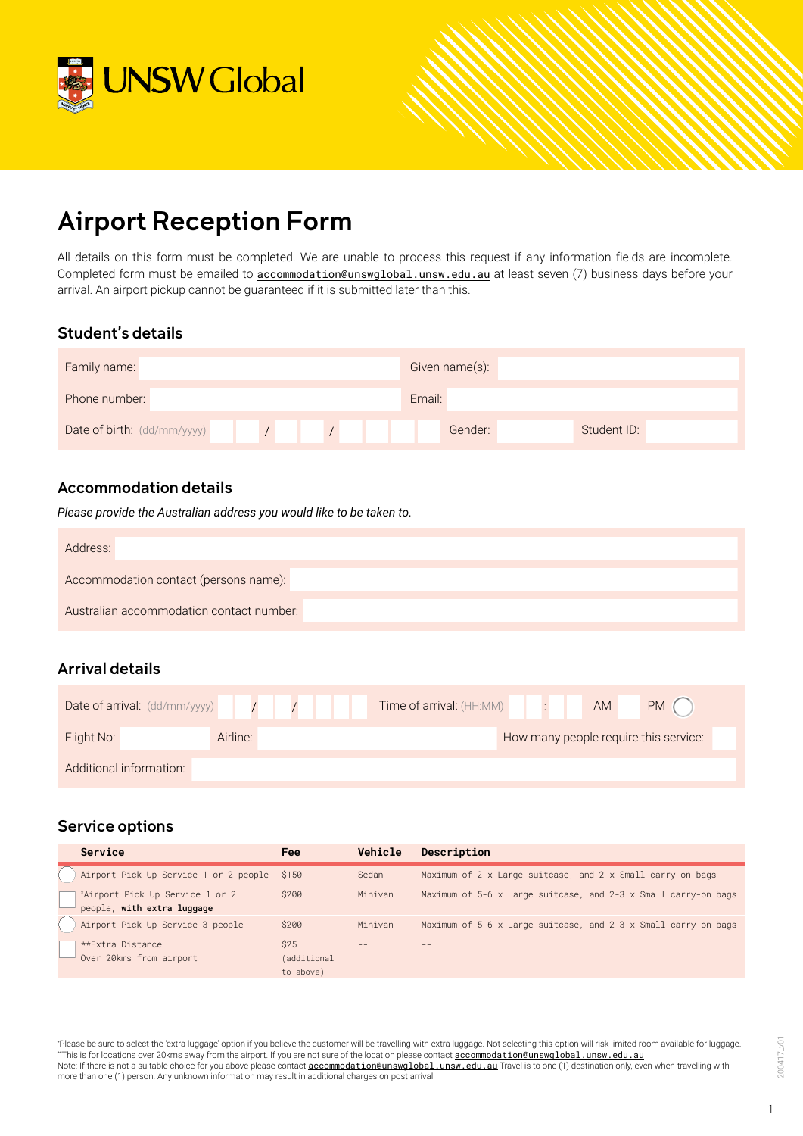



# Airport Reception Form

All details on this form must be completed. We are unable to process this request if any information fields are incomplete. Completed form must be emailed to **[accommodation@unswglobal.unsw.edu.au](mailto:accommodation@unswglobal.unsw.edu.au)** at least seven (7) business days before your arrival. An airport pickup cannot be guaranteed if it is submitted later than this.

## Student's details

| Family name:                |  | Given name(s): |             |
|-----------------------------|--|----------------|-------------|
| Phone number:               |  | Email:         |             |
| Date of birth: (dd/mm/yyyy) |  | Gender:        | Student ID: |

## Accommodation details

*Please provide the Australian address you would like to be taken to.*

| Address:                                 |
|------------------------------------------|
| Accommodation contact (persons name):    |
| Australian accommodation contact number: |

## Arrival details

| Date of arrival: (dd/mm/yyyy) |          |  | Time of arrival: (HH:MM) |  | AM | PM (                                  |
|-------------------------------|----------|--|--------------------------|--|----|---------------------------------------|
| Flight No:                    | Airline: |  |                          |  |    | How many people require this service: |
| Additional information:       |          |  |                          |  |    |                                       |

## Service options

| Service                                                       | <b>Fee</b>                       | Vehicle | Description                                                                  |
|---------------------------------------------------------------|----------------------------------|---------|------------------------------------------------------------------------------|
| Airport Pick Up Service 1 or 2 people \$150                   |                                  | Sedan   | Maximum of 2 x Large suitcase, and 2 x Small carry-on bags                   |
| *Airport Pick Up Service 1 or 2<br>people, with extra luggage | \$200                            | Minivan | Maximum of 5-6 $\times$ Large suitcase, and 2-3 $\times$ Small carry-on bags |
| Airport Pick Up Service 3 people                              | \$200                            | Minivan | Maximum of 5-6 $\times$ Large suitcase, and 2-3 $\times$ Small carry-on bags |
| **Extra Distance<br>Over 20kms from airport                   | \$25<br>(additional<br>to above) |         |                                                                              |

\* Please be sure to select the 'extra luggage' option if you believe the customer will be travelling with extra luggage. Not selecting this option will risk limited room available for luggage. \*\*This is for locations over 20kms away from the airport. If you are not sure of the location please contact [accommodation@unswglobal.unsw.edu.au](mailto:accommodation@unswglobal.unsw.edu.au) Note: If there is not a suitable choice for you above please contact <u>acc**ommodation@unswglobal.unsw.edu.au</u>** Travel is to one (1) destination only, even when travelling with<br>more than one (1) person. Any unknown informati</u>